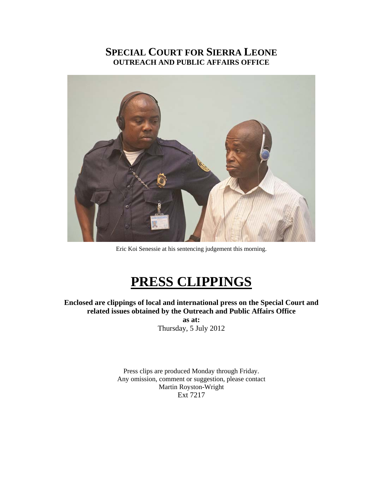## **SPECIAL COURT FOR SIERRA LEONE OUTREACH AND PUBLIC AFFAIRS OFFICE**



Eric Koi Senessie at his sentencing judgement this morning.

# **PRESS CLIPPINGS**

**Enclosed are clippings of local and international press on the Special Court and related issues obtained by the Outreach and Public Affairs Office** 

**as at:**  Thursday, 5 July 2012

Press clips are produced Monday through Friday. Any omission, comment or suggestion, please contact Martin Royston-Wright Ext 7217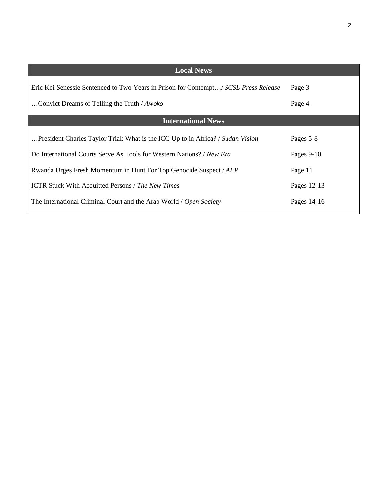| <b>Local News</b>                                                                   |             |
|-------------------------------------------------------------------------------------|-------------|
| Eric Koi Senessie Sentenced to Two Years in Prison for Contempt/ SCSL Press Release | Page 3      |
| Convict Dreams of Telling the Truth / Awoko                                         | Page 4      |
| <b>International News</b>                                                           |             |
| President Charles Taylor Trial: What is the ICC Up to in Africa? / Sudan Vision     | Pages 5-8   |
| Do International Courts Serve As Tools for Western Nations? / New Era               | Pages 9-10  |
| Rwanda Urges Fresh Momentum in Hunt For Top Genocide Suspect / AFP                  | Page 11     |
| <b>ICTR Stuck With Acquitted Persons / The New Times</b>                            | Pages 12-13 |
| The International Criminal Court and the Arab World / Open Society                  | Pages 14-16 |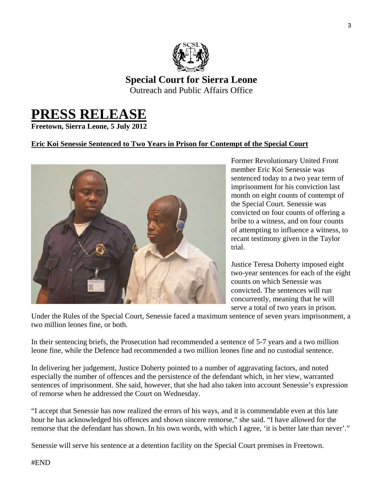

## **Special Court for Sierra Leone**  Outreach and Public Affairs Office

# **PRESS RELEASE Freetown, Sierra Leone, 5 July 2012**

#### **Eric Koi Senessie Sentenced to Two Years in Prison for Contempt of the Special Court**



Former Revolutionary United Front member Eric Koi Senessie was sentenced today to a two year term of imprisonment for his conviction last month on eight counts of contempt of the Special Court. Senessie was convicted on four counts of offering a bribe to a witness, and on four counts of attempting to influence a witness, to recant testimony given in the Taylor trial.

Justice Teresa Doherty imposed eight two-year sentences for each of the e ight counts on which Senessie was convicted. The sentences will run concurrently, meaning that he will serve a total of two years in prison.

Under the Rules of the Special Court, Senessie faced a maximum sentence of seven years imprisonment, a two million leones fine, or both.

In their sentencing briefs, the Prosecution had recommended a sentence of 5-7 years and a two million leone fine, while the Defence had recommended a two million leones fine and no custodial sentence.

In delivering her judgement, Justice Doherty pointed to a number of aggravating factors, and noted especially the number of offences and the persistence of the defendant which, in her view, warranted sentences of imprisonment. She said, however, that she had also taken into account Senessie's expression of remorse when he addressed the Court on Wednesday.

"I accept that Senessie has now realized the errors of his ways, and it is commendable even at this late hour he has acknowledged his offences and shown sincere remorse," she said. "I have allowed for the remorse that the defendant has shown. In his own words, with which I agree, 'it is better late than never'."

Senessie will serve his sentence at a detention facility on the Special Court premises in Freetown.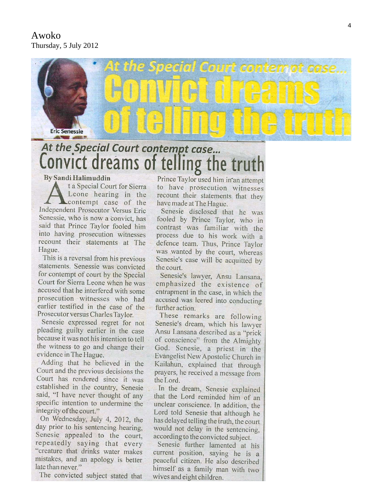

# At the Special Court contempt case... onvict dreams of telling the truth

#### **By Sandi Halimuddin**

t a Special Court for Sierra Leone hearing in the contempt case of the Independent Prosecutor Versus Eric Senessie, who is now a convict, has said that Prince Taylor fooled him into having prosecution witnesses recount their statements at The Hague.

This is a reversal from his previous statements. Senessie was convicted for contempt of court by the Special Court for Sierra Leone when he was accused that he interfered with some prosecution witnesses who had earlier testified in the case of the Prosecutor versus Charles Taylor.

Senesie expressed regret for not pleading guilty earlier in the case because it was not his intention to tell the witness to go and change their evidence in The Hague.

Adding that he believed in the Court and the previous decisions the Court has rendered since it was established in the country, Senesie said, "I have never thought of any specific intention to undermine the integrity of the court."

On Wednesday, July 4, 2012, the day prior to his sentencing hearing, Senesie appealed to the court, repeatedly saying that every "creature that drinks water makes" mistakes, and an apology is better late than never."

The convicted subject stated that

Prince Taylor used him in an attempt to have prosecution witnesses recount their statements that they have made at The Hague.

Senesie disclosed that he was fooled by Prince Taylor, who in contrast was familiar with the process due to his work with a defence team. Thus, Prince Taylor was wanted by the court, whereas Senesie's case will be acquitted by the court.

Senesie's lawyer, Ansu Lansana, emphasized the existence of entrapment in the case, in which the accused was leered into conducting further action.

These remarks are following Senesie's dream, which his lawyer Ansu Lansana described as a "prick of conscience" from the Almighty God. Senesie, a priest in the Evangelist New Apostolic Church in Kailahun, explained that through prayers, he received a message from the Lord.

In the dream, Senesie explained that the Lord reminded him of an unclear conscience. In addition, the Lord told Senesie that although he has delayed telling the truth, the court would not delay in the sentencing, according to the convicted subject.

Senesie further lamented at his current position, saying he is a peaceful citizen. He also described himself as a family man with two wives and eight children.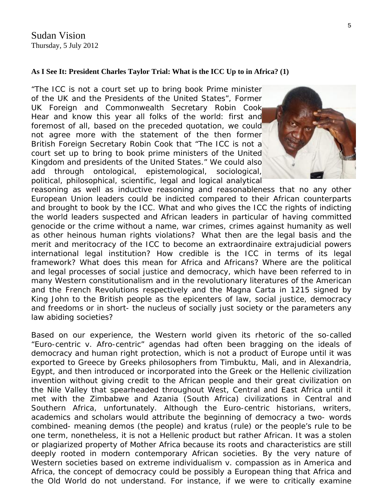Sudan Vision Thursday, 5 July 2012

#### **As I See It: President Charles Taylor Trial: What is the ICC Up to in Africa? (1)**

"The ICC is not a court set up to bring book Prime minister of the UK and the Presidents of the United States", Former UK Foreign and Commonwealth Secretary Robin Cook Hear and know this year all folks of the world: first and foremost of all, based on the preceded quotation, we could not agree more with the statement of the then former British Foreign Secretary Robin Cook that "The ICC is not a court set up to bring to book prime ministers of the United Kingdom and presidents of the United States." We could also add through ontological, epistemological, sociological, political, philosophical, scientific, legal and logical analytical



reasoning as well as inductive reasoning and reasonableness that no any other European Union leaders could be indicted compared to their African counterparts and brought to book by the ICC. What and who gives the ICC the rights of indicting the world leaders suspected and African leaders in particular of having committed genocide or the crime without a name, war crimes, crimes against humanity as well as other heinous human rights violations? What then are the legal basis and the merit and meritocracy of the ICC to become an extraordinaire extrajudicial powers international legal institution? How credible is the ICC in terms of its legal framework? What does this mean for Africa and Africans? Where are the political and legal processes of social justice and democracy, which have been referred to in many Western constitutionalism and in the revolutionary literatures of the American and the French Revolutions respectively and the Magna Carta in 1215 signed by King John to the British people as the epicenters of law, social justice, democracy and freedoms or in short- the nucleus of socially just society or the parameters any law abiding societies?

Based on our experience, the Western world given its rhetoric of the so-called "Euro-centric v. Afro-centric" agendas had often been bragging on the ideals of democracy and human right protection, which is not a product of Europe until it was exported to Greece by Greeks philosophers from Timbuktu, Mali, and in Alexandria, Egypt, and then introduced or incorporated into the Greek or the Hellenic civilization invention without giving credit to the African people and their great civilization on the Nile Valley that spearheaded throughout West, Central and East Africa until it met with the Zimbabwe and Azania (South Africa) civilizations in Central and Southern Africa, unfortunately. Although the Euro-centric historians, writers, academics and scholars would attribute the beginning of democracy a two- words combined- meaning demos (the people) and kratus (rule) or the people's rule to be one term, nonetheless, it is not a Hellenic product but rather African. It was a stolen or plagiarized property of Mother Africa because its roots and characteristics are still deeply rooted in modern contemporary African societies. By the very nature of Western societies based on extreme individualism v. compassion as in America and Africa, the concept of democracy could be possibly a European thing that Africa and the Old World do not understand. For instance, if we were to critically examine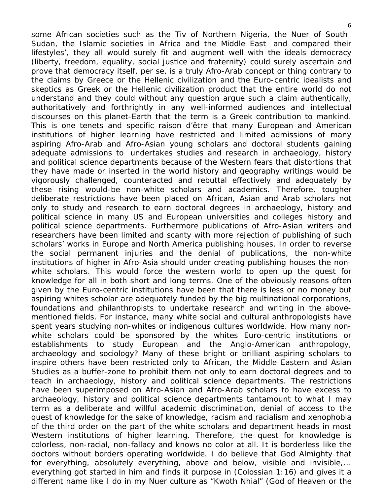some African societies such as the Tiv of Northern Nigeria, the Nuer of South Sudan, the Islamic societies in Africa and the Middle East and compared their lifestyles', they all would surely fit and augment well with the ideals democracy (liberty, freedom, equality, social justice and fraternity) could surely ascertain and prove that democracy itself, per se, is a truly Afro-Arab concept or thing contrary to the claims by Greece or the Hellenic civilization and the Euro-centric idealists and skeptics as Greek or the Hellenic civilization product that the entire world do not understand and they could without any question argue such a claim authentically, authoritatively and forthrightly in any well-informed audiences and intellectual discourses on this planet-Earth that the term is a Greek contribution to mankind. This is one tenets and specific raison d'être that many European and American institutions of higher learning have restricted and limited admissions of many aspiring Afro-Arab and Afro-Asian young scholars and doctoral students gaining adequate admissions to undertakes studies and research in archaeology, history and political science departments because of the Western fears that distortions that they have made or inserted in the world history and geography writings would be vigorously challenged, counteracted and rebuttal effectively and adequately by these rising would-be non-white scholars and academics. Therefore, tougher deliberate restrictions have been placed on African, Asian and Arab scholars not only to study and research to earn doctoral degrees in archaeology, history and political science in many US and European universities and colleges history and political science departments. Furthermore publications of Afro-Asian writers and researchers have been limited and scanty with more rejection of publishing of such scholars' works in Europe and North America publishing houses. In order to reverse the social permanent injuries and the denial of publications, the non-white institutions of higher in Afro-Asia should under creating publishing houses the nonwhite scholars. This would force the western world to open up the quest for knowledge for all in both short and long terms. One of the obviously reasons often given by the Euro-centric institutions have been that there is less or no money but aspiring whites scholar are adequately funded by the big multinational corporations, foundations and philanthropists to undertake research and writing in the abovementioned fields. For instance, many white social and cultural anthropologists have spent years studying non-whites or indigenous cultures worldwide. How many nonwhite scholars could be sponsored by the whites Euro-centric institutions or establishments to study European and the Anglo-American anthropology, archaeology and sociology? Many of these bright or brilliant aspiring scholars to inspire others have been restricted only to African, the Middle Eastern and Asian Studies as a buffer-zone to prohibit them not only to earn doctoral degrees and to teach in archaeology, history and political science departments. The restrictions have been superimposed on Afro-Asian and Afro-Arab scholars to have excess to archaeology, history and political science departments tantamount to what I may term as a deliberate and willful academic discrimination, denial of access to the quest of knowledge for the sake of knowledge, racism and racialism and xenophobia of the third order on the part of the white scholars and department heads in most Western institutions of higher learning. Therefore, the quest for knowledge is colorless, non-racial, non-fallacy and knows no color at all. It is borderless like the doctors without borders operating worldwide. I do believe that God Almighty that for everything, absolutely everything, above and below, visible and invisible,... everything got started in him and finds it purpose in (Colossian 1:16) and gives it a different name like I do in my Nuer culture as "Kwoth Nhial" (God of Heaven or the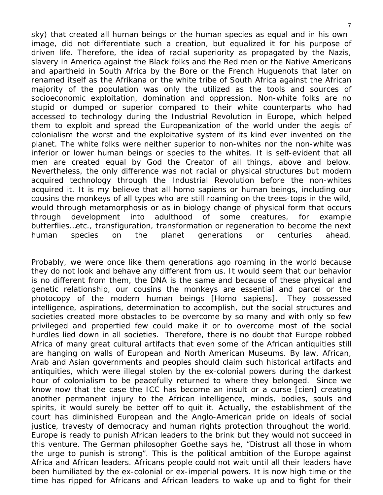sky) that created all human beings or the human species as equal and in his own image, did not differentiate such a creation, but equalized it for his purpose of driven life. Therefore, the idea of racial superiority as propagated by the Nazis, slavery in America against the Black folks and the Red men or the Native Americans and apartheid in South Africa by the Bore or the French Huguenots that later on renamed itself as the Afrikana or the white tribe of South Africa against the African majority of the population was only the utilized as the tools and sources of socioeconomic exploitation, domination and oppression. Non-white folks are no stupid or dumped or superior compared to their white counterparts who had accessed to technology during the Industrial Revolution in Europe, which helped them to exploit and spread the Europeanization of the world under the aegis of colonialism the worst and the exploitative system of its kind ever invented on the planet. The white folks were neither superior to non-whites nor the non-white was inferior or lower human beings or species to the whites. It is self-evident that all men are created equal by God the Creator of all things, above and below. Nevertheless, the only difference was not racial or physical structures but modern acquired technology through the Industrial Revolution before the non-whites acquired it. It is my believe that all homo sapiens or human beings, including our cousins the monkeys of all types who are still roaming on the trees-tops in the wild, would through metamorphosis or as in biology change of physical form that occurs through development into adulthood of some creatures, for example butterflies…etc., transfiguration, transformation or regeneration to become the next human species on the planet generations or centuries ahead.

Probably, we were once like them generations ago roaming in the world because they do not look and behave any different from us. It would seem that our behavior is no different from them, the DNA is the same and because of these physical and genetic relationship, our cousins the monkeys are essential and parcel or the photocopy of the modern human beings [Homo sapiens]. They possessed intelligence, aspirations, determination to accomplish, but the social structures and societies created more obstacles to be overcome by so many and with only so few privileged and propertied few could make it or to overcome most of the social hurdles lied down in all societies. Therefore, there is no doubt that Europe robbed Africa of many great cultural artifacts that even some of the African antiquities still are hanging on walls of European and North American Museums. By law, African, Arab and Asian governments and peoples should claim such historical artifacts and antiquities, which were illegal stolen by the ex-colonial powers during the darkest hour of colonialism to be peacefully returned to where they belonged. Since we know now that the case the ICC has become an insult or a curse [cien] creating another permanent injury to the African intelligence, minds, bodies, souls and spirits, it would surely be better off to quit it. Actually, the establishment of the court has diminished European and the Anglo-American pride on ideals of social justice, travesty of democracy and human rights protection throughout the world. Europe is ready to punish African leaders to the brink but they would not succeed in this venture. The German philosopher Goethe says he, "Distrust all those in whom the urge to punish is strong". This is the political ambition of the Europe against Africa and African leaders. Africans people could not wait until all their leaders have been humiliated by the ex-colonial or ex-imperial powers. It is now high time or the time has ripped for Africans and African leaders to wake up and to fight for their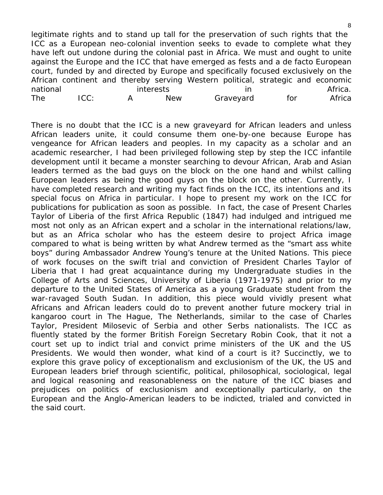legitimate rights and to stand up tall for the preservation of such rights that the ICC as a European neo-colonial invention seeks to evade to complete what they have left out undone during the colonial past in Africa. We must and ought to unite against the Europe and the ICC that have emerged as fests and a de facto European court, funded by and directed by Europe and specifically focused exclusively on the African continent and thereby serving Western political, strategic and economic national interests in the interest in the Africa. The ICC: A New Graveyard for Africa

There is no doubt that the ICC is a new graveyard for African leaders and unless African leaders unite, it could consume them one-by-one because Europe has vengeance for African leaders and peoples. In my capacity as a scholar and an academic researcher, I had been privileged following step by step the ICC infantile development until it became a monster searching to devour African, Arab and Asian leaders termed as the bad guys on the block on the one hand and whilst calling European leaders as being the good guys on the block on the other. Currently, I have completed research and writing my fact finds on the ICC, its intentions and its special focus on Africa in particular. I hope to present my work on the ICC for publications for publication as soon as possible. In fact, the case of Present Charles Taylor of Liberia of the first Africa Republic (1847) had indulged and intrigued me most not only as an African expert and a scholar in the international relations/law, but as an Africa scholar who has the esteem desire to project Africa image compared to what is being written by what Andrew termed as the "smart ass white boys" during Ambassador Andrew Young's tenure at the United Nations. This piece of work focuses on the swift trial and conviction of President Charles Taylor of Liberia that I had great acquaintance during my Undergraduate studies in the College of Arts and Sciences, University of Liberia (1971-1975) and prior to my departure to the United States of America as a young Graduate student from the war-ravaged South Sudan. In addition, this piece would vividly present what Africans and African leaders could do to prevent another future mockery trial in kangaroo court in The Hague, The Netherlands, similar to the case of Charles Taylor, President Milosevic of Serbia and other Serbs nationalists. The ICC as fluently stated by the former British Foreign Secretary Robin Cook, that it not a court set up to indict trial and convict prime ministers of the UK and the US Presidents. We would then wonder, what kind of a court is it? Succinctly, we to explore this grave policy of exceptionalism and exclusionism of the UK, the US and European leaders brief through scientific, political, philosophical, sociological, legal and logical reasoning and reasonableness on the nature of the ICC biases and prejudices on politics of exclusionism and exceptionally particularly, on the European and the Anglo-American leaders to be indicted, trialed and convicted in the said court.

8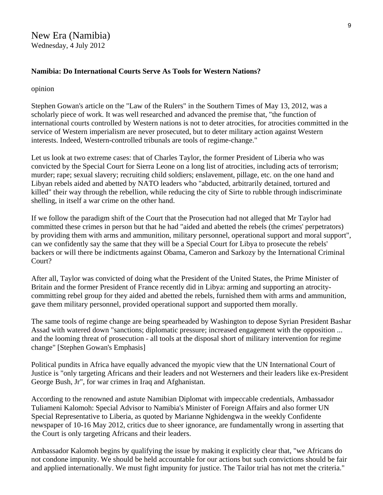New Era (Namibia) Wednesday, 4 July 2012

#### **Namibia: Do International Courts Serve As Tools for Western Nations?**

opinion

Stephen Gowan's article on the "Law of the Rulers" in the Southern Times of May 13, 2012, was a scholarly piece of work. It was well researched and advanced the premise that, "the function of international courts controlled by Western nations is not to deter atrocities, for atrocities committed in the service of Western imperialism are never prosecuted, but to deter military action against Western interests. Indeed, Western-controlled tribunals are tools of regime-change."

Let us look at two extreme cases: that of Charles Taylor, the former President of Liberia who was convicted by the Special Court for Sierra Leone on a long list of atrocities, including acts of terrorism; murder; rape; sexual slavery; recruiting child soldiers; enslavement, pillage, etc. on the one hand and Libyan rebels aided and abetted by NATO leaders who "abducted, arbitrarily detained, tortured and killed" their way through the rebellion, while reducing the city of Sirte to rubble through indiscriminate shelling, in itself a war crime on the other hand.

If we follow the paradigm shift of the Court that the Prosecution had not alleged that Mr Taylor had committed these crimes in person but that he had "aided and abetted the rebels (the crimes' perpetrators) by providing them with arms and ammunition, military personnel, operational support and moral support", can we confidently say the same that they will be a Special Court for Libya to prosecute the rebels' backers or will there be indictments against Obama, Cameron and Sarkozy by the International Criminal Court?

After all, Taylor was convicted of doing what the President of the United States, the Prime Minister of Britain and the former President of France recently did in Libya: arming and supporting an atrocitycommitting rebel group for they aided and abetted the rebels, furnished them with arms and ammunition, gave them military personnel, provided operational support and supported them morally.

The same tools of regime change are being spearheaded by Washington to depose Syrian President Bashar Assad with watered down "sanctions; diplomatic pressure; increased engagement with the opposition ... and the looming threat of prosecution - all tools at the disposal short of military intervention for regime change" [Stephen Gowan's Emphasis]

Political pundits in Africa have equally advanced the myopic view that the UN International Court of Justice is "only targeting Africans and their leaders and not Westerners and their leaders like ex-President George Bush, Jr", for war crimes in Iraq and Afghanistan.

According to the renowned and astute Namibian Diplomat with impeccable credentials, Ambassador Tuliameni Kalomoh: Special Advisor to Namibia's Minister of Foreign Affairs and also former UN Special Representative to Liberia, as quoted by Marianne Nghidengwa in the weekly Confidente newspaper of 10-16 May 2012, critics due to sheer ignorance, are fundamentally wrong in asserting that the Court is only targeting Africans and their leaders.

Ambassador Kalomoh begins by qualifying the issue by making it explicitly clear that, "we Africans do not condone impunity. We should be held accountable for our actions but such convictions should be fair and applied internationally. We must fight impunity for justice. The Tailor trial has not met the criteria."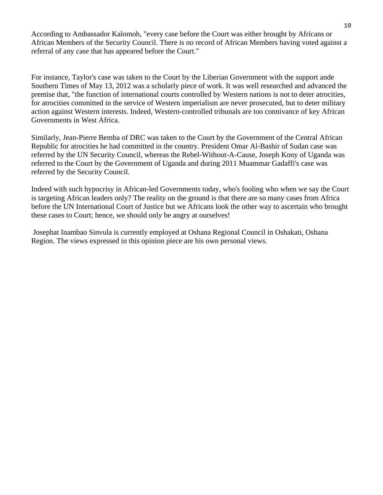According to Ambassador Kalomoh, "every case before the Court was either brought by Africans or African Members of the Security Council. There is no record of African Members having voted against a referral of any case that has appeared before the Court."

For instance, Taylor's case was taken to the Court by the Liberian Government with the support ande Southern Times of May 13, 2012 was a scholarly piece of work. It was well researched and advanced the premise that, "the function of international courts controlled by Western nations is not to deter atrocities, for atrocities committed in the service of Western imperialism are never prosecuted, but to deter military action against Western interests. Indeed, Western-controlled tribunals are too connivance of key African Governments in West Africa.

Similarly, Jean-Pierre Bemba of DRC was taken to the Court by the Government of the Central African Republic for atrocities he had committed in the country. President Omar Al-Bashir of Sudan case was referred by the UN Security Council, whereas the Rebel-Without-A-Cause, Joseph Kony of Uganda was referred to the Court by the Government of Uganda and during 2011 Muammar Gadaffi's case was referred by the Security Council.

Indeed with such hypocrisy in African-led Governments today, who's fooling who when we say the Court is targeting African leaders only? The reality on the ground is that there are so many cases from Africa before the UN International Court of Justice but we Africans look the other way to ascertain who brought these cases to Court; hence, we should only be angry at ourselves!

 Josephat Inambao Sinvula is currently employed at Oshana Regional Council in Oshakati, Oshana Region. The views expressed in this opinion piece are his own personal views.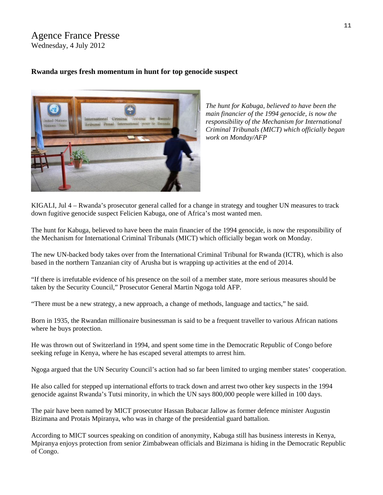#### Agence France Presse Wednesday, 4 July 2012

#### **Rwanda urges fresh momentum in hunt for top genocide suspect**



*The hunt for Kabuga, believed to have been the main financier of the 1994 genocide, is now the responsibility of the Mechanism for International Criminal Tribunals (MICT) which officially began work on Monday/AFP* 

KIGALI, Jul 4 – Rwanda's prosecutor general called for a change in strategy and tougher UN measures to track down fugitive genocide suspect Felicien Kabuga, one of Africa's most wanted men.

The hunt for Kabuga, believed to have been the main financier of the 1994 genocide, is now the responsibility of the Mechanism for International Criminal Tribunals (MICT) which officially began work on Monday.

The new UN-backed body takes over from the International Criminal Tribunal for Rwanda (ICTR), which is also based in the northern Tanzanian city of Arusha but is wrapping up activities at the end of 2014.

"If there is irrefutable evidence of his presence on the soil of a member state, more serious measures should be taken by the Security Council," Prosecutor General Martin Ngoga told AFP.

"There must be a new strategy, a new approach, a change of methods, language and tactics," he said.

Born in 1935, the Rwandan millionaire businessman is said to be a frequent traveller to various African nations where he buys protection.

He was thrown out of Switzerland in 1994, and spent some time in the Democratic Republic of Congo before seeking refuge in Kenya, where he has escaped several attempts to arrest him.

Ngoga argued that the UN Security Council's action had so far been limited to urging member states' cooperation.

He also called for stepped up international efforts to track down and arrest two other key suspects in the 1994 genocide against Rwanda's Tutsi minority, in which the UN says 800,000 people were killed in 100 days.

The pair have been named by MICT prosecutor Hassan Bubacar Jallow as former defence minister Augustin Bizimana and Protais Mpiranya, who was in charge of the presidential guard battalion.

According to MICT sources speaking on condition of anonymity, Kabuga still has business interests in Kenya, Mpiranya enjoys protection from senior Zimbabwean officials and Bizimana is hiding in the Democratic Republic of Congo.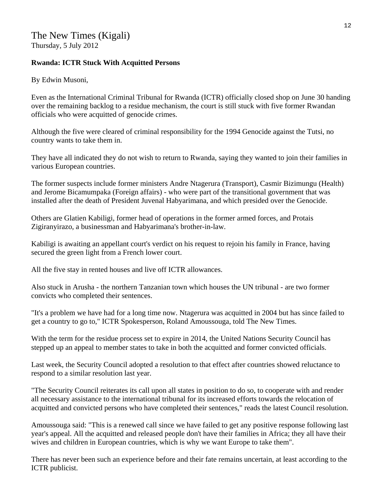#### **Rwanda: ICTR Stuck With Acquitted Persons**

By Edwin Musoni,

Even as the International Criminal Tribunal for Rwanda (ICTR) officially closed shop on June 30 handing over the remaining backlog to a residue mechanism, the court is still stuck with five former Rwandan officials who were acquitted of genocide crimes.

Although the five were cleared of criminal responsibility for the 1994 Genocide against the Tutsi, no country wants to take them in.

They have all indicated they do not wish to return to Rwanda, saying they wanted to join their families in various European countries.

The former suspects include former ministers Andre Ntagerura (Transport), Casmir Bizimungu (Health) and Jerome Bicamumpaka (Foreign affairs) - who were part of the transitional government that was installed after the death of President Juvenal Habyarimana, and which presided over the Genocide.

Others are Glatien Kabiligi, former head of operations in the former armed forces, and Protais Zigiranyirazo, a businessman and Habyarimana's brother-in-law.

Kabiligi is awaiting an appellant court's verdict on his request to rejoin his family in France, having secured the green light from a French lower court.

All the five stay in rented houses and live off ICTR allowances.

Also stuck in Arusha - the northern Tanzanian town which houses the UN tribunal - are two former convicts who completed their sentences.

"It's a problem we have had for a long time now. Ntagerura was acquitted in 2004 but has since failed to get a country to go to," ICTR Spokesperson, Roland Amoussouga, told The New Times.

With the term for the residue process set to expire in 2014, the United Nations Security Council has stepped up an appeal to member states to take in both the acquitted and former convicted officials.

Last week, the Security Council adopted a resolution to that effect after countries showed reluctance to respond to a similar resolution last year.

"The Security Council reiterates its call upon all states in position to do so, to cooperate with and render all necessary assistance to the international tribunal for its increased efforts towards the relocation of acquitted and convicted persons who have completed their sentences," reads the latest Council resolution.

Amoussouga said: "This is a renewed call since we have failed to get any positive response following last year's appeal. All the acquitted and released people don't have their families in Africa; they all have their wives and children in European countries, which is why we want Europe to take them".

There has never been such an experience before and their fate remains uncertain, at least according to the ICTR publicist.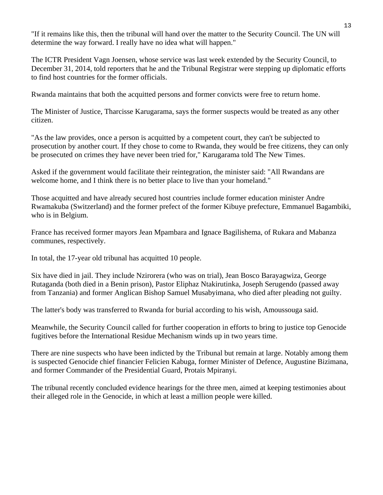"If it remains like this, then the tribunal will hand over the matter to the Security Council. The UN will determine the way forward. I really have no idea what will happen."

The ICTR President Vagn Joensen, whose service was last week extended by the Security Council, to December 31, 2014, told reporters that he and the Tribunal Registrar were stepping up diplomatic efforts to find host countries for the former officials.

Rwanda maintains that both the acquitted persons and former convicts were free to return home.

The Minister of Justice, Tharcisse Karugarama, says the former suspects would be treated as any other citizen.

"As the law provides, once a person is acquitted by a competent court, they can't be subjected to prosecution by another court. If they chose to come to Rwanda, they would be free citizens, they can only be prosecuted on crimes they have never been tried for," Karugarama told The New Times.

Asked if the government would facilitate their reintegration, the minister said: "All Rwandans are welcome home, and I think there is no better place to live than your homeland."

Those acquitted and have already secured host countries include former education minister Andre Rwamakuba (Switzerland) and the former prefect of the former Kibuye prefecture, Emmanuel Bagambiki, who is in Belgium.

France has received former mayors Jean Mpambara and Ignace Bagilishema, of Rukara and Mabanza communes, respectively.

In total, the 17-year old tribunal has acquitted 10 people.

Six have died in jail. They include Nzirorera (who was on trial), Jean Bosco Barayagwiza, George Rutaganda (both died in a Benin prison), Pastor Eliphaz Ntakirutinka, Joseph Serugendo (passed away from Tanzania) and former Anglican Bishop Samuel Musabyimana, who died after pleading not guilty.

The latter's body was transferred to Rwanda for burial according to his wish, Amoussouga said.

Meanwhile, the Security Council called for further cooperation in efforts to bring to justice top Genocide fugitives before the International Residue Mechanism winds up in two years time.

There are nine suspects who have been indicted by the Tribunal but remain at large. Notably among them is suspected Genocide chief financier Felicien Kabuga, former Minister of Defence, Augustine Bizimana, and former Commander of the Presidential Guard, Protais Mpiranyi.

The tribunal recently concluded evidence hearings for the three men, aimed at keeping testimonies about their alleged role in the Genocide, in which at least a million people were killed.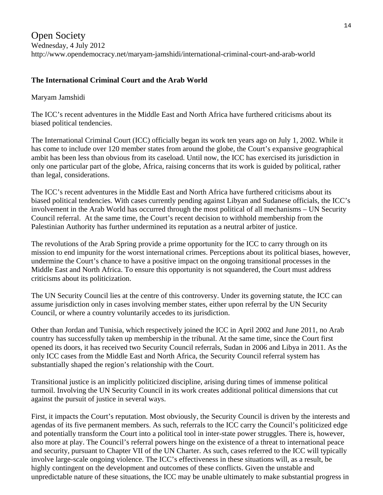#### **The International Criminal Court and the Arab World**

#### Maryam Jamshidi

The ICC's recent adventures in the Middle East and North Africa have furthered criticisms about its biased political tendencies.

The International Criminal Court (ICC) officially began its work ten years ago on July 1, 2002. While it has come to include over 120 member states from around the globe, the Court's expansive geographical ambit has been less than obvious from its caseload. Until now, the ICC has exercised its jurisdiction in only one particular part of the globe, Africa, raising concerns that its work is guided by political, rather than legal, considerations.

The ICC's recent adventures in the Middle East and North Africa have furthered criticisms about its biased political tendencies. With cases currently pending against Libyan and Sudanese officials, the ICC's involvement in the Arab World has occurred through the most political of all mechanisms – UN Security Council referral. At the same time, the Court's recent decision to withhold membership from the Palestinian Authority has further undermined its reputation as a neutral arbiter of justice.

The revolutions of the Arab Spring provide a prime opportunity for the ICC to carry through on its mission to end impunity for the worst international crimes. Perceptions about its political biases, however, undermine the Court's chance to have a positive impact on the ongoing transitional processes in the Middle East and North Africa. To ensure this opportunity is not squandered, the Court must address criticisms about its politicization.

The UN Security Council lies at the centre of this controversy. Under its governing statute, the ICC can assume jurisdiction only in cases involving member states, either upon referral by the UN Security Council, or where a country voluntarily accedes to its jurisdiction.

Other than Jordan and Tunisia, which respectively joined the ICC in April 2002 and June 2011, no Arab country has successfully taken up membership in the tribunal. At the same time, since the Court first opened its doors, it has received two Security Council referrals, Sudan in 2006 and Libya in 2011. As the only ICC cases from the Middle East and North Africa, the Security Council referral system has substantially shaped the region's relationship with the Court.

Transitional justice is an implicitly politicized discipline, arising during times of immense political turmoil. Involving the UN Security Council in its work creates additional political dimensions that cut against the pursuit of justice in several ways.

First, it impacts the Court's reputation. Most obviously, the Security Council is driven by the interests and agendas of its five permanent members. As such, referrals to the ICC carry the Council's politicized edge and potentially transform the Court into a political tool in inter-state power struggles. There is, however, also more at play. The Council's referral powers hinge on the existence of a threat to international peace and security, pursuant to Chapter VII of the UN Charter. As such, cases referred to the ICC will typically involve large-scale ongoing violence. The ICC's effectiveness in these situations will, as a result, be highly contingent on the development and outcomes of these conflicts. Given the unstable and unpredictable nature of these situations, the ICC may be unable ultimately to make substantial progress in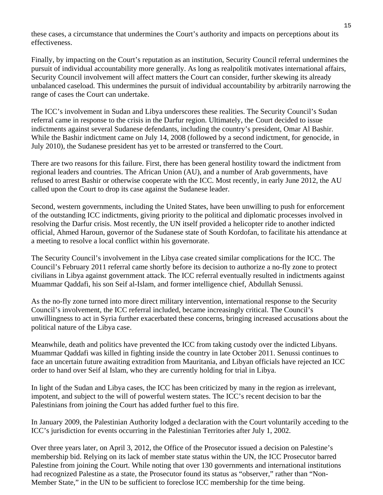these cases, a circumstance that undermines the Court's authority and impacts on perceptions about its effectiveness.

Finally, by impacting on the Court's reputation as an institution, Security Council referral undermines the pursuit of individual accountability more generally. As long as realpolitik motivates international affairs, Security Council involvement will affect matters the Court can consider, further skewing its already unbalanced caseload. This undermines the pursuit of individual accountability by arbitrarily narrowing the range of cases the Court can undertake.

The ICC's involvement in Sudan and Libya underscores these realities. The Security Council's Sudan referral came in response to the crisis in the Darfur region. Ultimately, the Court decided to issue indictments against several Sudanese defendants, including the country's president, Omar Al Bashir. While the Bashir indictment came on July 14, 2008 (followed by a second indictment, for genocide, in July 2010), the Sudanese president has yet to be arrested or transferred to the Court.

There are two reasons for this failure. First, there has been general hostility toward the indictment from regional leaders and countries. The African Union (AU), and a number of Arab governments, have refused to arrest Bashir or otherwise cooperate with the ICC. Most recently, in early June 2012, the AU called upon the Court to drop its case against the Sudanese leader.

Second, western governments, including the United States, have been unwilling to push for enforcement of the outstanding ICC indictments, giving priority to the political and diplomatic processes involved in resolving the Darfur crisis. Most recently, the UN itself provided a helicopter ride to another indicted official, Ahmed Haroun, governor of the Sudanese state of South Kordofan, to facilitate his attendance at a meeting to resolve a local conflict within his governorate.

The Security Council's involvement in the Libya case created similar complications for the ICC. The Council's February 2011 referral came shortly before its decision to authorize a no-fly zone to protect civilians in Libya against government attack. The ICC referral eventually resulted in indictments against Muammar Qaddafi, his son Seif al-Islam, and former intelligence chief, Abdullah Senussi.

As the no-fly zone turned into more direct military intervention, international response to the Security Council's involvement, the ICC referral included, became increasingly critical. The Council's unwillingness to act in Syria further exacerbated these concerns, bringing increased accusations about the political nature of the Libya case.

Meanwhile, death and politics have prevented the ICC from taking custody over the indicted Libyans. Muammar Qaddafi was killed in fighting inside the country in late October 2011. Senussi continues to face an uncertain future awaiting extradition from Mauritania, and Libyan officials have rejected an ICC order to hand over Seif al Islam, who they are currently holding for trial in Libya.

In light of the Sudan and Libya cases, the ICC has been criticized by many in the region as irrelevant, impotent, and subject to the will of powerful western states. The ICC's recent decision to bar the Palestinians from joining the Court has added further fuel to this fire.

In January 2009, the Palestinian Authority lodged a declaration with the Court voluntarily acceding to the ICC's jurisdiction for events occurring in the Palestinian Territories after July 1, 2002.

Over three years later, on April 3, 2012, the Office of the Prosecutor issued a decision on Palestine's membership bid. Relying on its lack of member state status within the UN, the ICC Prosecutor barred Palestine from joining the Court. While noting that over 130 governments and international institutions had recognized Palestine as a state, the Prosecutor found its status as "observer," rather than "Non-Member State," in the UN to be sufficient to foreclose ICC membership for the time being.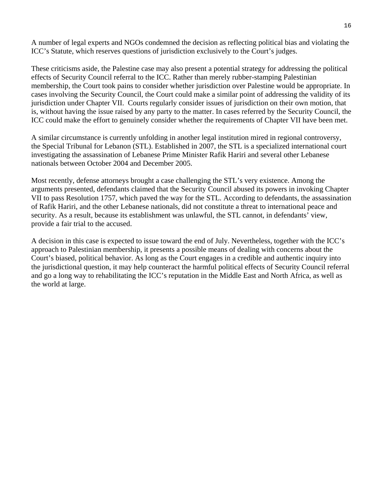A number of legal experts and NGOs condemned the decision as reflecting political bias and violating the ICC's Statute, which reserves questions of jurisdiction exclusively to the Court's judges.

These criticisms aside, the Palestine case may also present a potential strategy for addressing the political effects of Security Council referral to the ICC. Rather than merely rubber-stamping Palestinian membership, the Court took pains to consider whether jurisdiction over Palestine would be appropriate. In cases involving the Security Council, the Court could make a similar point of addressing the validity of its jurisdiction under Chapter VII. Courts regularly consider issues of jurisdiction on their own motion, that is, without having the issue raised by any party to the matter. In cases referred by the Security Council, the ICC could make the effort to genuinely consider whether the requirements of Chapter VII have been met.

A similar circumstance is currently unfolding in another legal institution mired in regional controversy, the Special Tribunal for Lebanon (STL). Established in 2007, the STL is a specialized international court investigating the assassination of Lebanese Prime Minister Rafik Hariri and several other Lebanese nationals between October 2004 and December 2005.

Most recently, defense attorneys brought a case challenging the STL's very existence. Among the arguments presented, defendants claimed that the Security Council abused its powers in invoking Chapter VII to pass Resolution 1757, which paved the way for the STL. According to defendants, the assassination of Rafik Hariri, and the other Lebanese nationals, did not constitute a threat to international peace and security. As a result, because its establishment was unlawful, the STL cannot, in defendants' view, provide a fair trial to the accused.

A decision in this case is expected to issue toward the end of July. Nevertheless, together with the ICC's approach to Palestinian membership, it presents a possible means of dealing with concerns about the Court's biased, political behavior. As long as the Court engages in a credible and authentic inquiry into the jurisdictional question, it may help counteract the harmful political effects of Security Council referral and go a long way to rehabilitating the ICC's reputation in the Middle East and North Africa, as well as the world at large.